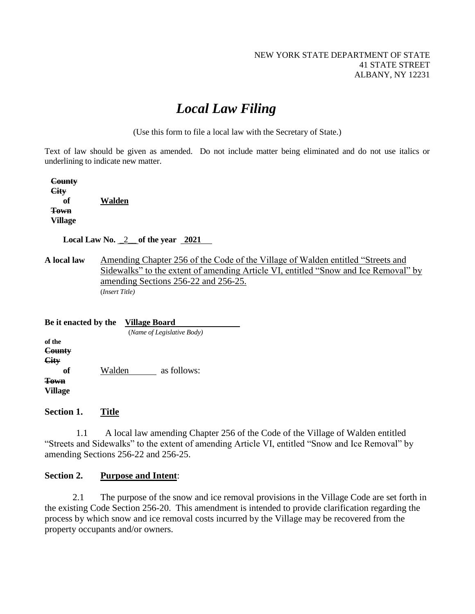# *Local Law Filing*

(Use this form to file a local law with the Secretary of State.)

Text of law should be given as amended. Do not include matter being eliminated and do not use italics or underlining to indicate new matter.

 **County City of Walden Town Village**

 **Local Law No.** \_2\_\_ **of the year 2021**

**A local law** Amending Chapter 256 of the Code of the Village of Walden entitled "Streets and Sidewalks" to the extent of amending Article VI, entitled "Snow and Ice Removal" by amending Sections 256-22 and 256-25. (*Insert Title)*

| Be it enacted by the         |        | Village Board              |             |  |
|------------------------------|--------|----------------------------|-------------|--|
|                              |        | (Name of Legislative Body) |             |  |
| of the<br>County<br>City     |        |                            |             |  |
| оf<br>Town<br><b>Village</b> | Walden |                            | as follows: |  |

**Section 1. Title**

1.1 A local law amending Chapter 256 of the Code of the Village of Walden entitled "Streets and Sidewalks" to the extent of amending Article VI, entitled "Snow and Ice Removal" by amending Sections 256-22 and 256-25.

#### **Section 2. Purpose and Intent**:

2.1 The purpose of the snow and ice removal provisions in the Village Code are set forth in the existing Code Section 256-20. This amendment is intended to provide clarification regarding the process by which snow and ice removal costs incurred by the Village may be recovered from the property occupants and/or owners.